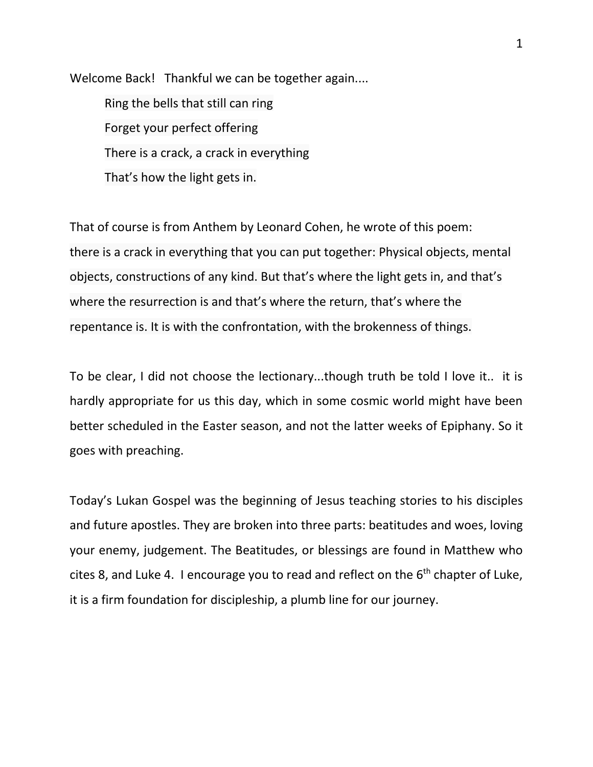Welcome Back! Thankful we can be together again.... Ring the bells that still can ring Forget your perfect offering There is a crack, a crack in everything That's how the light gets in.

That of course is from Anthem by Leonard Cohen, he wrote of this poem: there is a crack in everything that you can put together: Physical objects, mental objects, constructions of any kind. But that's where the light gets in, and that's where the resurrection is and that's where the return, that's where the repentance is. It is with the confrontation, with the brokenness of things.

To be clear, I did not choose the lectionary...though truth be told I love it.. it is hardly appropriate for us this day, which in some cosmic world might have been better scheduled in the Easter season, and not the latter weeks of Epiphany. So it goes with preaching.

Today's Lukan Gospel was the beginning of Jesus teaching stories to his disciples and future apostles. They are broken into three parts: beatitudes and woes, loving your enemy, judgement. The Beatitudes, or blessings are found in Matthew who cites 8, and Luke 4. I encourage you to read and reflect on the  $6<sup>th</sup>$  chapter of Luke, it is a firm foundation for discipleship, a plumb line for our journey.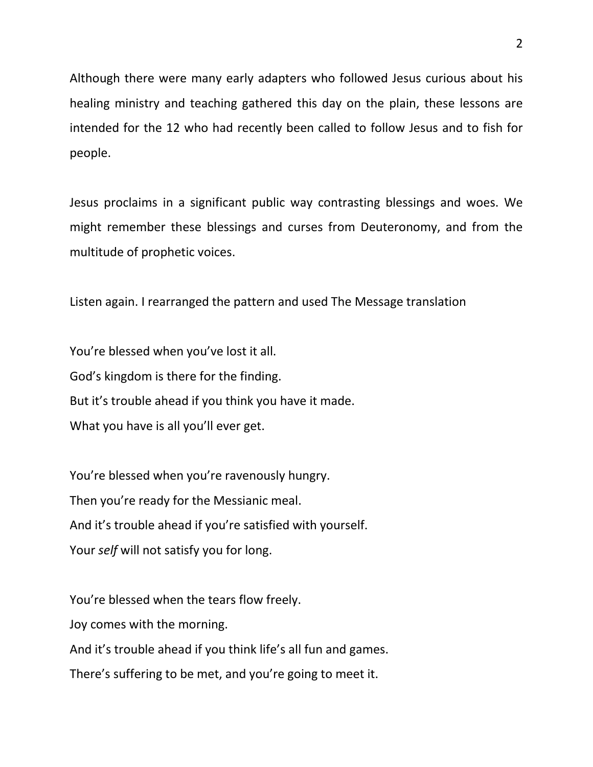Although there were many early adapters who followed Jesus curious about his healing ministry and teaching gathered this day on the plain, these lessons are intended for the 12 who had recently been called to follow Jesus and to fish for people.

Jesus proclaims in a significant public way contrasting blessings and woes. We might remember these blessings and curses from Deuteronomy, and from the multitude of prophetic voices.

Listen again. I rearranged the pattern and used The Message translation

You're blessed when you've lost it all. God's kingdom is there for the finding. But it's trouble ahead if you think you have it made. What you have is all you'll ever get.

You're blessed when you're ravenously hungry. Then you're ready for the Messianic meal. And it's trouble ahead if you're satisfied with yourself. Your *self* will not satisfy you for long.

You're blessed when the tears flow freely. Joy comes with the morning. And it's trouble ahead if you think life's all fun and games. There's suffering to be met, and you're going to meet it.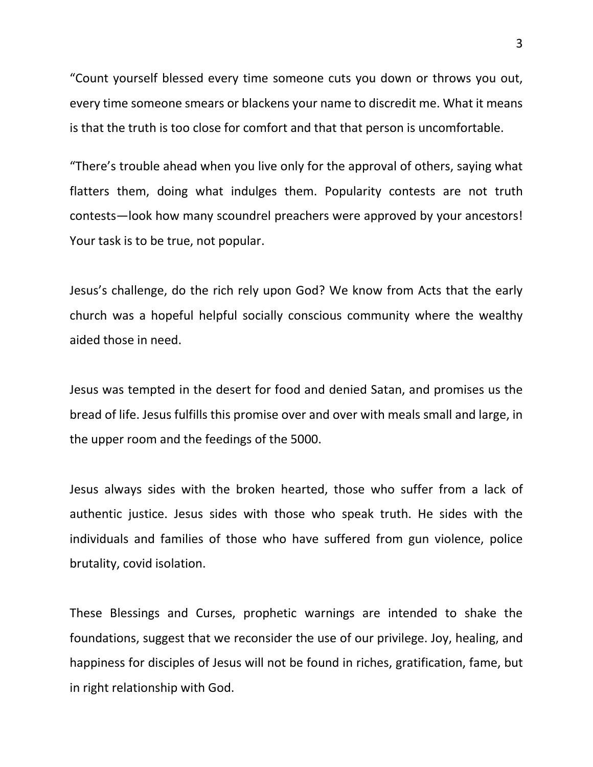"Count yourself blessed every time someone cuts you down or throws you out, every time someone smears or blackens your name to discredit me. What it means is that the truth is too close for comfort and that that person is uncomfortable.

"There's trouble ahead when you live only for the approval of others, saying what flatters them, doing what indulges them. Popularity contests are not truth contests—look how many scoundrel preachers were approved by your ancestors! Your task is to be true, not popular.

Jesus's challenge, do the rich rely upon God? We know from Acts that the early church was a hopeful helpful socially conscious community where the wealthy aided those in need.

Jesus was tempted in the desert for food and denied Satan, and promises us the bread of life. Jesus fulfills this promise over and over with meals small and large, in the upper room and the feedings of the 5000.

Jesus always sides with the broken hearted, those who suffer from a lack of authentic justice. Jesus sides with those who speak truth. He sides with the individuals and families of those who have suffered from gun violence, police brutality, covid isolation.

These Blessings and Curses, prophetic warnings are intended to shake the foundations, suggest that we reconsider the use of our privilege. Joy, healing, and happiness for disciples of Jesus will not be found in riches, gratification, fame, but in right relationship with God.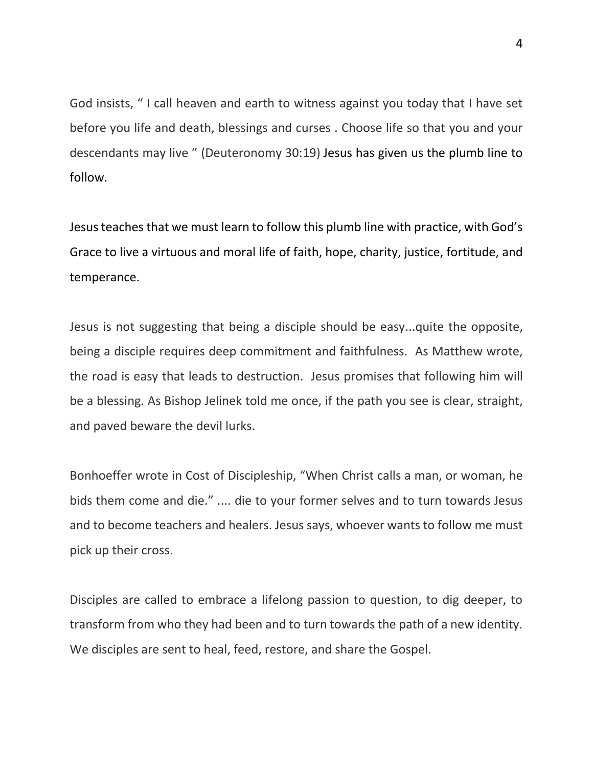God insists, " I call heaven and earth to witness against you today that I have set before you life and death, blessings and curses . Choose life so that you and your descendants may live " (Deuteronomy 30:19) Jesus has given us the plumb line to follow.

Jesus teaches that we must learn to follow this plumb line with practice, with God's Grace to live a virtuous and moral life of faith, hope, charity, justice, fortitude, and temperance.

Jesus is not suggesting that being a disciple should be easy...quite the opposite, being a disciple requires deep commitment and faithfulness. As Matthew wrote, the road is easy that leads to destruction. Jesus promises that following him will be a blessing. As Bishop Jelinek told me once, if the path you see is clear, straight, and paved beware the devil lurks.

Bonhoeffer wrote in Cost of Discipleship, "When Christ calls a man, or woman, he bids them come and die." .... die to your former selves and to turn towards Jesus and to become teachers and healers. Jesus says, whoever wants to follow me must pick up their cross.

Disciples are called to embrace a lifelong passion to question, to dig deeper, to transform from who they had been and to turn towards the path of a new identity. We disciples are sent to heal, feed, restore, and share the Gospel.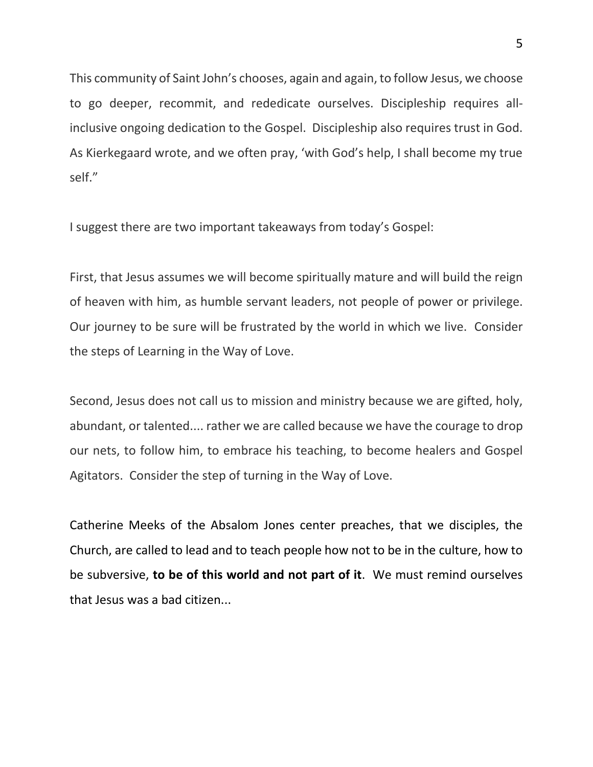This community of Saint John's chooses, again and again, to follow Jesus, we choose to go deeper, recommit, and rededicate ourselves. Discipleship requires allinclusive ongoing dedication to the Gospel. Discipleship also requires trust in God. As Kierkegaard wrote, and we often pray, 'with God's help, I shall become my true self."

I suggest there are two important takeaways from today's Gospel:

First, that Jesus assumes we will become spiritually mature and will build the reign of heaven with him, as humble servant leaders, not people of power or privilege. Our journey to be sure will be frustrated by the world in which we live. Consider the steps of Learning in the Way of Love.

Second, Jesus does not call us to mission and ministry because we are gifted, holy, abundant, or talented.... rather we are called because we have the courage to drop our nets, to follow him, to embrace his teaching, to become healers and Gospel Agitators. Consider the step of turning in the Way of Love.

Catherine Meeks of the Absalom Jones center preaches, that we disciples, the Church, are called to lead and to teach people how not to be in the culture, how to be subversive, **to be of this world and not part of it**. We must remind ourselves that Jesus was a bad citizen...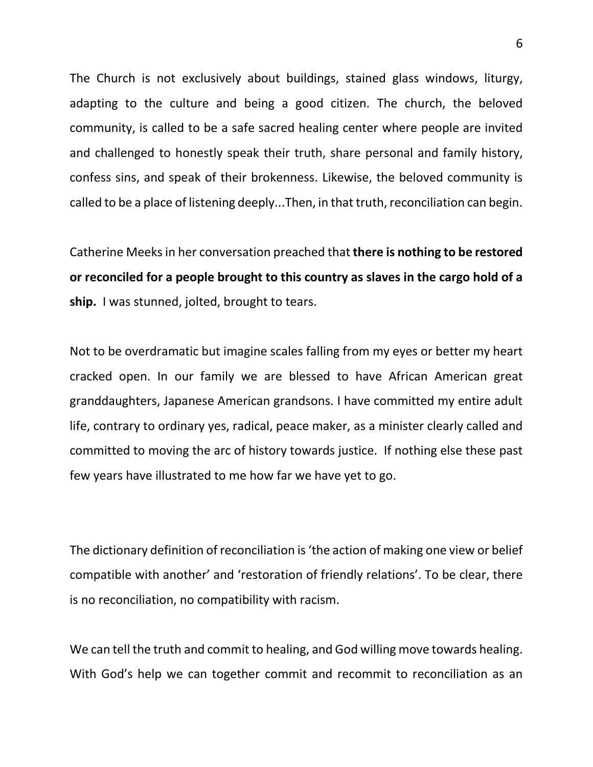The Church is not exclusively about buildings, stained glass windows, liturgy, adapting to the culture and being a good citizen. The church, the beloved community, is called to be a safe sacred healing center where people are invited and challenged to honestly speak their truth, share personal and family history, confess sins, and speak of their brokenness. Likewise, the beloved community is called to be a place of listening deeply...Then, in that truth, reconciliation can begin.

Catherine Meeks in her conversation preached that **there is nothing to be restored or reconciled for a people brought to this country as slaves in the cargo hold of a ship.** I was stunned, jolted, brought to tears.

Not to be overdramatic but imagine scales falling from my eyes or better my heart cracked open. In our family we are blessed to have African American great granddaughters, Japanese American grandsons. I have committed my entire adult life, contrary to ordinary yes, radical, peace maker, as a minister clearly called and committed to moving the arc of history towards justice. If nothing else these past few years have illustrated to me how far we have yet to go.

The dictionary definition of reconciliation is 'the action of making one view or belief compatible with another' and 'restoration of friendly relations'. To be clear, there is no reconciliation, no compatibility with racism.

We can tell the truth and commit to healing, and God willing move towards healing. With God's help we can together commit and recommit to reconciliation as an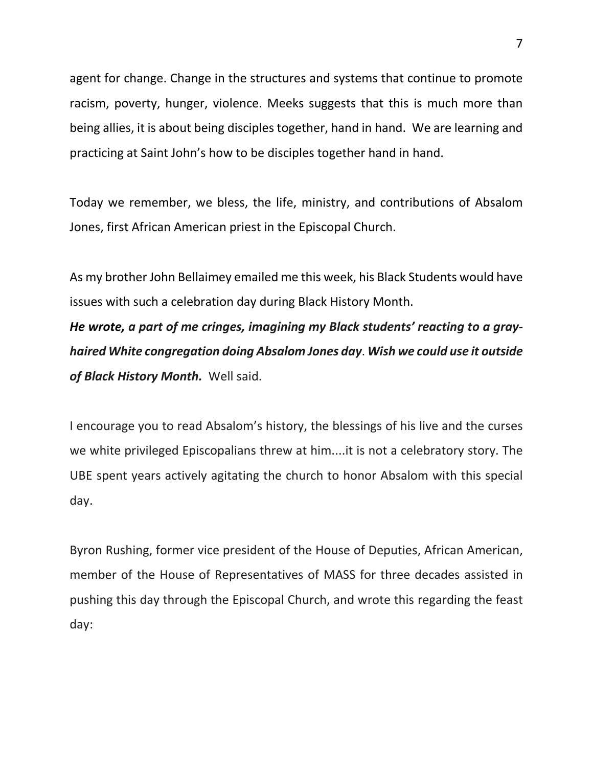agent for change. Change in the structures and systems that continue to promote racism, poverty, hunger, violence. Meeks suggests that this is much more than being allies, it is about being disciples together, hand in hand. We are learning and practicing at Saint John's how to be disciples together hand in hand.

Today we remember, we bless, the life, ministry, and contributions of Absalom Jones, first African American priest in the Episcopal Church.

As my brother John Bellaimey emailed me this week, his Black Students would have issues with such a celebration day during Black History Month.

*He wrote, a part of me cringes, imagining my Black students' reacting to a grayhaired White congregation doing Absalom Jones day*. *Wish we could use it outside of Black History Month.* Well said.

I encourage you to read Absalom's history, the blessings of his live and the curses we white privileged Episcopalians threw at him....it is not a celebratory story. The UBE spent years actively agitating the church to honor Absalom with this special day.

Byron Rushing, former vice president of the House of Deputies, African American, member of the House of Representatives of MASS for three decades assisted in pushing this day through the Episcopal Church, and wrote this regarding the feast day: